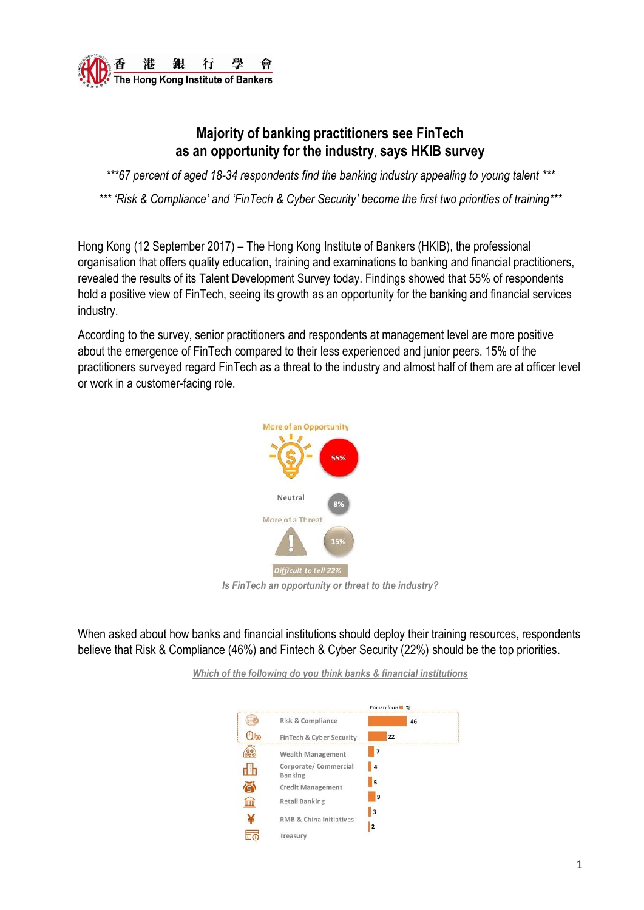

# **Majority of banking practitioners see FinTech as an opportunity for the industry**, **says HKIB survey**

*\*\*\*67 percent of aged 18-34 respondents find the banking industry appealing to young talent \*\*\**

*\*\*\* 'Risk & Compliance' and 'FinTech & Cyber Security' become the first two priorities of training\*\*\**

Hong Kong (12 September 2017) – The Hong Kong Institute of Bankers (HKIB), the professional organisation that offers quality education, training and examinations to banking and financial practitioners, revealed the results of its Talent Development Survey today. Findings showed that 55% of respondents hold a positive view of FinTech, seeing its growth as an opportunity for the banking and financial services industry.

According to the survey, senior practitioners and respondents at management level are more positive about the emergence of FinTech compared to their less experienced and junior peers. 15% of the practitioners surveyed regard FinTech as a threat to the industry and almost half of them are at officer level or work in a customer-facing role.



When asked about how banks and financial institutions should deploy their training resources, respondents believe that Risk & Compliance (46%) and Fintech & Cyber Security (22%) should be the top priorities.

> Primary forus **1** %  $\bigcirc$ Risk & Compliance 46  $\Theta$ lo FinTech & Cyber Security 22 **TOP**  $\mathbf{I}$ Wealth Management Corporate/Commercial 14 H Banking 5 尽 **Credit Management** 9  $\widehat{\mathbb{m}}$ Retail Banking  $\mathbf{I}$ ¥ RMB & China Initiatives  $\mathbf{I}$ 듦 Treasury

*Which of the following do you think banks & financial institutions*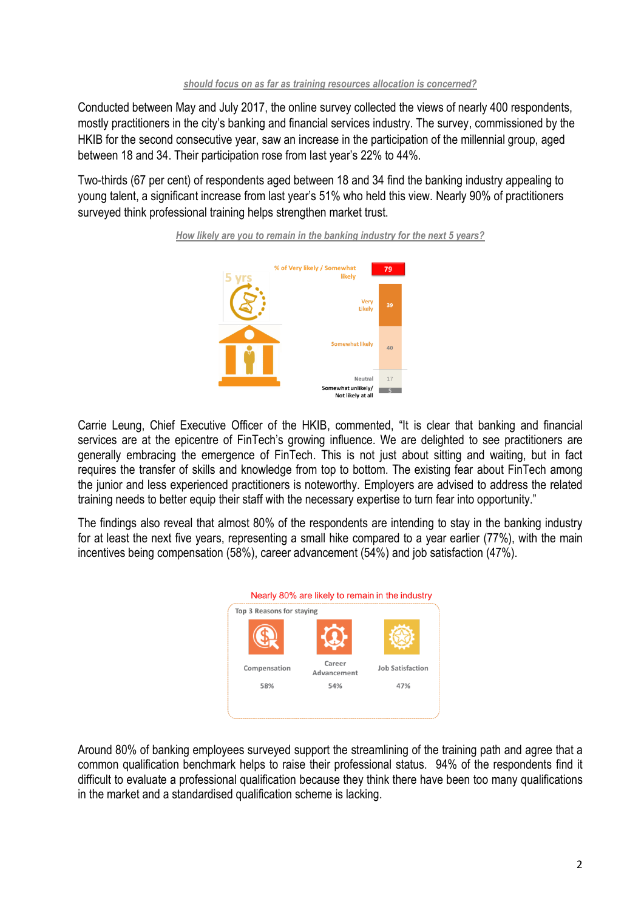#### *should focus on as far as training resources allocation is concerned?*

Conducted between May and July 2017, the online survey collected the views of nearly 400 respondents, mostly practitioners in the city's banking and financial services industry. The survey, commissioned by the HKIB for the second consecutive year, saw an increase in the participation of the millennial group, aged between 18 and 34. Their participation rose from last year's 22% to 44%.

Two-thirds (67 per cent) of respondents aged between 18 and 34 find the banking industry appealing to young talent, a significant increase from last year's 51% who held this view. Nearly 90% of practitioners surveyed think professional training helps strengthen market trust.





Carrie Leung, Chief Executive Officer of the HKIB, commented, "It is clear that banking and financial services are at the epicentre of FinTech's growing influence. We are delighted to see practitioners are generally embracing the emergence of FinTech. This is not just about sitting and waiting, but in fact requires the transfer of skills and knowledge from top to bottom. The existing fear about FinTech among the junior and less experienced practitioners is noteworthy. Employers are advised to address the related training needs to better equip their staff with the necessary expertise to turn fear into opportunity."

The findings also reveal that almost 80% of the respondents are intending to stay in the banking industry for at least the next five years, representing a small hike compared to a year earlier (77%), with the main incentives being compensation (58%), career advancement (54%) and job satisfaction (47%).



Around 80% of banking employees surveyed support the streamlining of the training path and agree that a common qualification benchmark helps to raise their professional status. 94% of the respondents find it difficult to evaluate a professional qualification because they think there have been too many qualifications in the market and a standardised qualification scheme is lacking.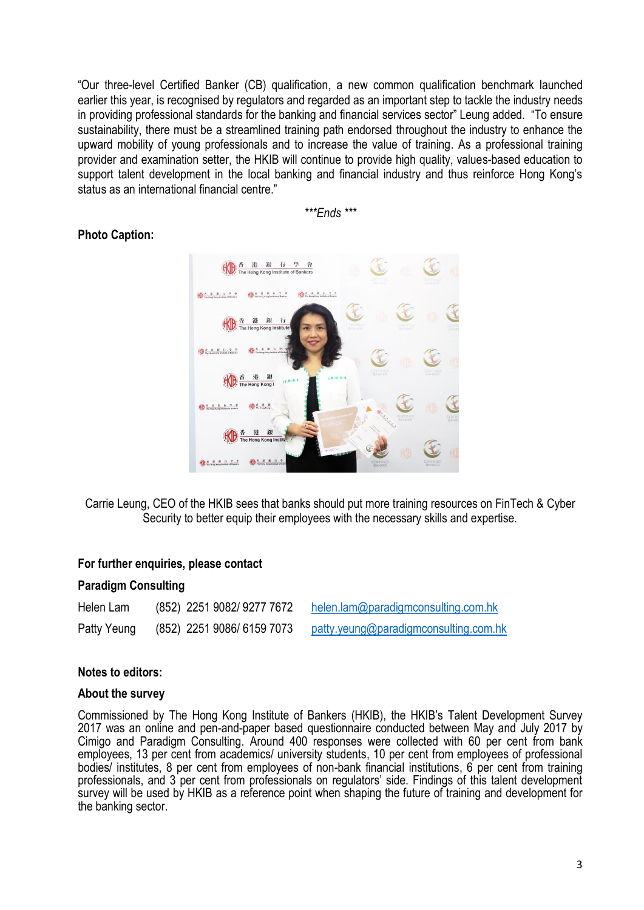"Our three-level Certified Banker (CB) qualification, a new common qualification benchmark launched earlier this year, is recognised by regulators and regarded as an important step to tackle the industry needs in providing professional standards for the banking and financial services sector" Leung added. "To ensure sustainability, there must be a streamlined training path endorsed throughout the industry to enhance the upward mobility of young professionals and to increase the value of training. As a professional training provider and examination setter, the HKIB will continue to provide high quality, values-based education to support talent development in the local banking and financial industry and thus reinforce Hong Kong's status as an international financial centre."

*\*\*\*Ends \*\*\**

## **Photo Caption:**



Carrie Leung, CEO of the HKIB sees that banks should put more training resources on FinTech & Cyber Security to better equip their employees with the necessary skills and expertise.

### **For further enquiries, please contact**

#### **Paradigm Consulting**

| Helen Lam   | (852) 2251 9082/ 9277 7672 | helen.lam@paradigmconsulting.com.hk   |
|-------------|----------------------------|---------------------------------------|
| Patty Yeung | (852) 2251 9086/6159 7073  | patty.yeung@paradigmconsulting.com.hk |

#### **Notes to editors:**

#### **About the survey**

Commissioned by The Hong Kong Institute of Bankers (HKIB), the HKIB's Talent Development Survey 2017 was an online and pen-and-paper based questionnaire conducted between May and July 2017 by Cimigo and Paradigm Consulting. Around 400 responses were collected with 60 per cent from bank employees, 13 per cent from academics/ university students, 10 per cent from employees of professional bodies/ institutes, 8 per cent from employees of non-bank financial institutions, 6 per cent from training professionals, and 3 per cent from professionals on regulators' side. Findings of this talent development survey will be used by HKIB as a reference point when shaping the future of training and development for the banking sector.